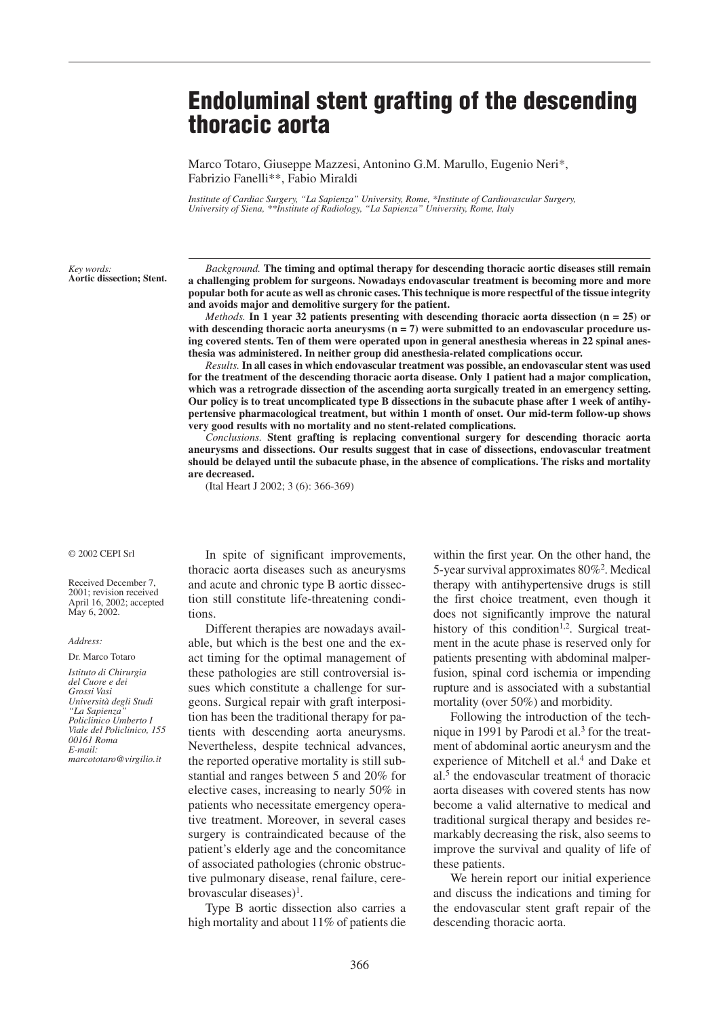# **Endoluminal stent grafting of the descending thoracic aorta**

Marco Totaro, Giuseppe Mazzesi, Antonino G.M. Marullo, Eugenio Neri\*, Fabrizio Fanelli\*\*, Fabio Miraldi

*Institute of Cardiac Surgery, "La Sapienza" University, Rome, \*Institute of Cardiovascular Surgery, University of Siena, \*\*Institute of Radiology, "La Sapienza" University, Rome, Italy*

*Key words:* **Aortic dissection; Stent.**

*Background.* **The timing and optimal therapy for descending thoracic aortic diseases still remain a challenging problem for surgeons. Nowadays endovascular treatment is becoming more and more popular both for acute as well as chronic cases. This technique is more respectful of the tissue integrity and avoids major and demolitive surgery for the patient.**

*Methods.* **In 1 year 32 patients presenting with descending thoracic aorta dissection (n = 25) or** with descending thoracic aorta aneurysms (n = 7) were submitted to an endovascular procedure us**ing covered stents. Ten of them were operated upon in general anesthesia whereas in 22 spinal anesthesia was administered. In neither group did anesthesia-related complications occur.** 

*Results.* **In all cases in which endovascular treatment was possible, an endovascular stent was used for the treatment of the descending thoracic aorta disease. Only 1 patient had a major complication, which was a retrograde dissection of the ascending aorta surgically treated in an emergency setting. Our policy is to treat uncomplicated type B dissections in the subacute phase after 1 week of antihypertensive pharmacological treatment, but within 1 month of onset. Our mid-term follow-up shows very good results with no mortality and no stent-related complications.**

*Conclusions.* **Stent grafting is replacing conventional surgery for descending thoracic aorta aneurysms and dissections. Our results suggest that in case of dissections, endovascular treatment should be delayed until the subacute phase, in the absence of complications. The risks and mortality are decreased.**

(Ital Heart J 2002; 3 (6): 366-369)

#### © 2002 CEPI Srl

Received December 7, 2001; revision received April 16, 2002; accepted May 6, 2002.

*Address:*

#### Dr. Marco Totaro

*Istituto di Chirurgia del Cuore e dei Grossi Vasi Università degli Studi "La Sapienza" Policlinico Umberto I Viale del Policlinico, 155 00161 Roma E-mail: marcototaro@virgilio.it*

In spite of significant improvements, thoracic aorta diseases such as aneurysms and acute and chronic type B aortic dissection still constitute life-threatening conditions.

Different therapies are nowadays available, but which is the best one and the exact timing for the optimal management of these pathologies are still controversial issues which constitute a challenge for surgeons. Surgical repair with graft interposition has been the traditional therapy for patients with descending aorta aneurysms. Nevertheless, despite technical advances, the reported operative mortality is still substantial and ranges between 5 and 20% for elective cases, increasing to nearly 50% in patients who necessitate emergency operative treatment. Moreover, in several cases surgery is contraindicated because of the patient's elderly age and the concomitance of associated pathologies (chronic obstructive pulmonary disease, renal failure, cerebrovascular diseases $)^1$ .

Type B aortic dissection also carries a high mortality and about 11% of patients die

within the first year. On the other hand, the 5-year survival approximates 80%2. Medical therapy with antihypertensive drugs is still the first choice treatment, even though it does not significantly improve the natural history of this condition<sup>1,2</sup>. Surgical treatment in the acute phase is reserved only for patients presenting with abdominal malperfusion, spinal cord ischemia or impending rupture and is associated with a substantial mortality (over 50%) and morbidity.

Following the introduction of the technique in 1991 by Parodi et al. $3$  for the treatment of abdominal aortic aneurysm and the experience of Mitchell et al.<sup>4</sup> and Dake et al.5 the endovascular treatment of thoracic aorta diseases with covered stents has now become a valid alternative to medical and traditional surgical therapy and besides remarkably decreasing the risk, also seems to improve the survival and quality of life of these patients.

We herein report our initial experience and discuss the indications and timing for the endovascular stent graft repair of the descending thoracic aorta.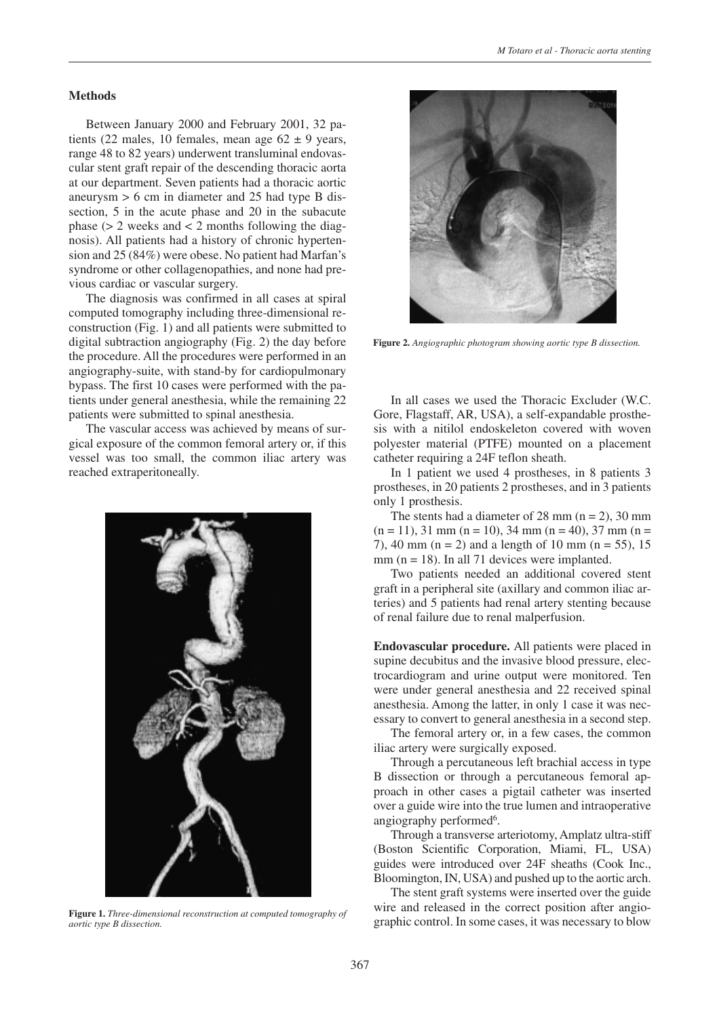## **Methods**

Between January 2000 and February 2001, 32 patients (22 males, 10 females, mean age  $62 \pm 9$  years, range 48 to 82 years) underwent transluminal endovascular stent graft repair of the descending thoracic aorta at our department. Seven patients had a thoracic aortic aneurysm > 6 cm in diameter and 25 had type B dissection, 5 in the acute phase and 20 in the subacute phase  $(> 2$  weeks and  $< 2$  months following the diagnosis). All patients had a history of chronic hypertension and 25 (84%) were obese. No patient had Marfan's syndrome or other collagenopathies, and none had previous cardiac or vascular surgery.

The diagnosis was confirmed in all cases at spiral computed tomography including three-dimensional reconstruction (Fig. 1) and all patients were submitted to digital subtraction angiography (Fig. 2) the day before the procedure. All the procedures were performed in an angiography-suite, with stand-by for cardiopulmonary bypass. The first 10 cases were performed with the patients under general anesthesia, while the remaining 22 patients were submitted to spinal anesthesia.

The vascular access was achieved by means of surgical exposure of the common femoral artery or, if this vessel was too small, the common iliac artery was reached extraperitoneally.



**Figure 1.** *Three-dimensional reconstruction at computed tomography of aortic type B dissection.*



**Figure 2.** *Angiographic photogram showing aortic type B dissection.*

In all cases we used the Thoracic Excluder (W.C. Gore, Flagstaff, AR, USA), a self-expandable prosthesis with a nitilol endoskeleton covered with woven polyester material (PTFE) mounted on a placement catheter requiring a 24F teflon sheath.

In 1 patient we used 4 prostheses, in 8 patients 3 prostheses, in 20 patients 2 prostheses, and in 3 patients only 1 prosthesis.

The stents had a diameter of 28 mm  $(n = 2)$ , 30 mm  $(n = 11)$ , 31 mm  $(n = 10)$ , 34 mm  $(n = 40)$ , 37 mm  $(n = 11)$ 7), 40 mm (n = 2) and a length of 10 mm (n = 55), 15  $mm (n = 18)$ . In all 71 devices were implanted.

Two patients needed an additional covered stent graft in a peripheral site (axillary and common iliac arteries) and 5 patients had renal artery stenting because of renal failure due to renal malperfusion.

**Endovascular procedure.** All patients were placed in supine decubitus and the invasive blood pressure, electrocardiogram and urine output were monitored. Ten were under general anesthesia and 22 received spinal anesthesia. Among the latter, in only 1 case it was necessary to convert to general anesthesia in a second step.

The femoral artery or, in a few cases, the common iliac artery were surgically exposed.

Through a percutaneous left brachial access in type B dissection or through a percutaneous femoral approach in other cases a pigtail catheter was inserted over a guide wire into the true lumen and intraoperative angiography performed<sup>6</sup>.

Through a transverse arteriotomy, Amplatz ultra-stiff (Boston Scientific Corporation, Miami, FL, USA) guides were introduced over 24F sheaths (Cook Inc., Bloomington, IN, USA) and pushed up to the aortic arch.

The stent graft systems were inserted over the guide wire and released in the correct position after angiographic control. In some cases, it was necessary to blow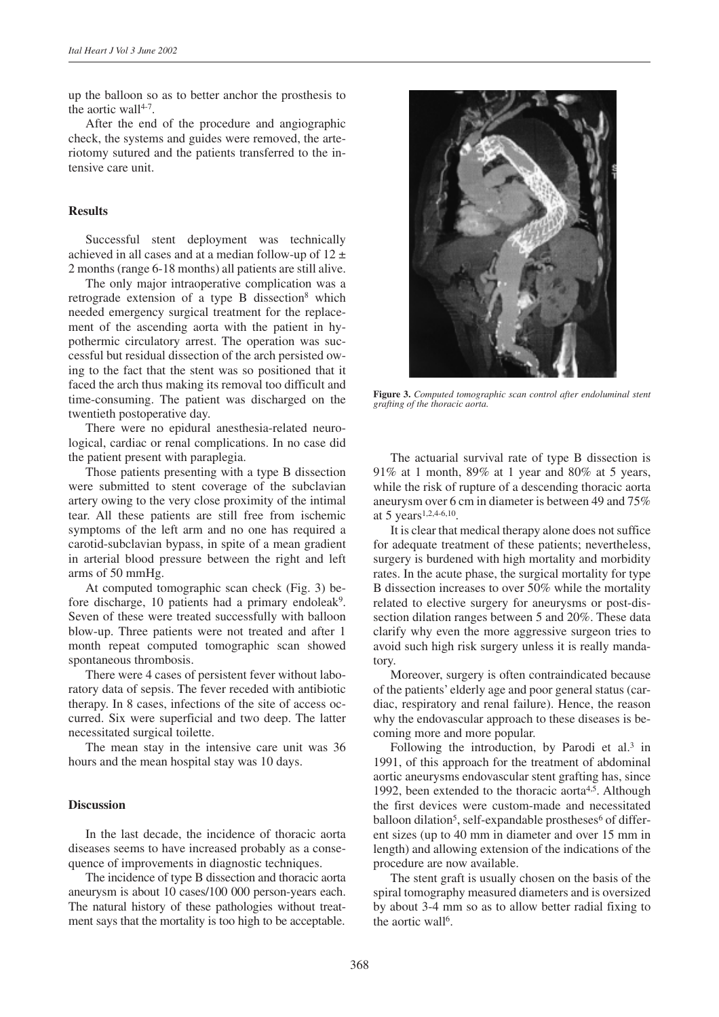up the balloon so as to better anchor the prosthesis to the aortic wall<sup>4-7</sup>.

After the end of the procedure and angiographic check, the systems and guides were removed, the arteriotomy sutured and the patients transferred to the intensive care unit.

## **Results**

Successful stent deployment was technically achieved in all cases and at a median follow-up of  $12 \pm$ 2 months (range 6-18 months) all patients are still alive.

The only major intraoperative complication was a retrograde extension of a type B dissection<sup>8</sup> which needed emergency surgical treatment for the replacement of the ascending aorta with the patient in hypothermic circulatory arrest. The operation was successful but residual dissection of the arch persisted owing to the fact that the stent was so positioned that it faced the arch thus making its removal too difficult and time-consuming. The patient was discharged on the twentieth postoperative day.

There were no epidural anesthesia-related neurological, cardiac or renal complications. In no case did the patient present with paraplegia.

Those patients presenting with a type B dissection were submitted to stent coverage of the subclavian artery owing to the very close proximity of the intimal tear. All these patients are still free from ischemic symptoms of the left arm and no one has required a carotid-subclavian bypass, in spite of a mean gradient in arterial blood pressure between the right and left arms of 50 mmHg.

At computed tomographic scan check (Fig. 3) before discharge, 10 patients had a primary endoleak<sup>9</sup>. Seven of these were treated successfully with balloon blow-up. Three patients were not treated and after 1 month repeat computed tomographic scan showed spontaneous thrombosis.

There were 4 cases of persistent fever without laboratory data of sepsis. The fever receded with antibiotic therapy. In 8 cases, infections of the site of access occurred. Six were superficial and two deep. The latter necessitated surgical toilette.

The mean stay in the intensive care unit was 36 hours and the mean hospital stay was 10 days.

## **Discussion**

In the last decade, the incidence of thoracic aorta diseases seems to have increased probably as a consequence of improvements in diagnostic techniques.

The incidence of type B dissection and thoracic aorta aneurysm is about 10 cases/100 000 person-years each. The natural history of these pathologies without treatment says that the mortality is too high to be acceptable.



**Figure 3.** *Computed tomographic scan control after endoluminal stent grafting of the thoracic aorta.*

The actuarial survival rate of type B dissection is 91% at 1 month, 89% at 1 year and 80% at 5 years, while the risk of rupture of a descending thoracic aorta aneurysm over 6 cm in diameter is between 49 and 75% at 5 years<sup>1,2,4-6,10</sup>.

It is clear that medical therapy alone does not suffice for adequate treatment of these patients; nevertheless, surgery is burdened with high mortality and morbidity rates. In the acute phase, the surgical mortality for type B dissection increases to over 50% while the mortality related to elective surgery for aneurysms or post-dissection dilation ranges between 5 and 20%. These data clarify why even the more aggressive surgeon tries to avoid such high risk surgery unless it is really mandatory.

Moreover, surgery is often contraindicated because of the patients' elderly age and poor general status (cardiac, respiratory and renal failure). Hence, the reason why the endovascular approach to these diseases is becoming more and more popular.

Following the introduction, by Parodi et al.<sup>3</sup> in 1991, of this approach for the treatment of abdominal aortic aneurysms endovascular stent grafting has, since 1992, been extended to the thoracic aorta<sup>4,5</sup>. Although the first devices were custom-made and necessitated balloon dilation<sup>5</sup>, self-expandable prostheses<sup>6</sup> of different sizes (up to 40 mm in diameter and over 15 mm in length) and allowing extension of the indications of the procedure are now available.

The stent graft is usually chosen on the basis of the spiral tomography measured diameters and is oversized by about 3-4 mm so as to allow better radial fixing to the aortic wall<sup>6</sup>.